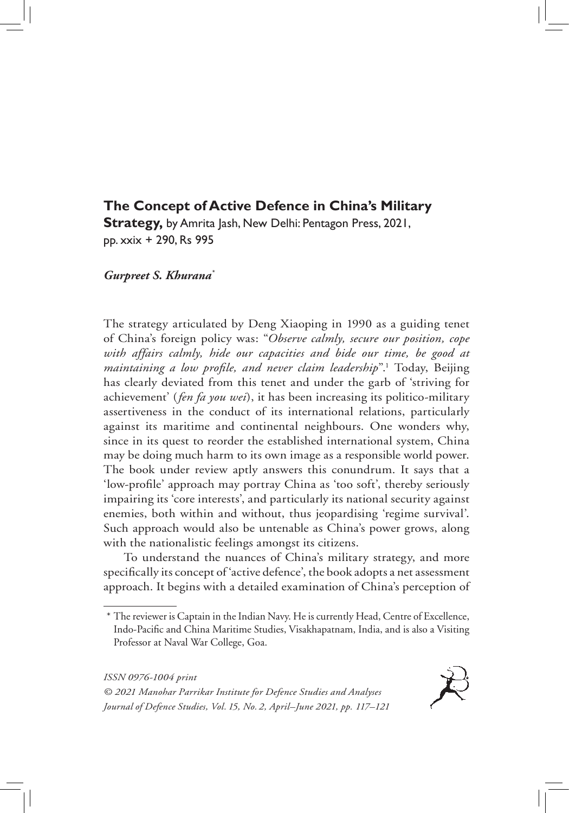# **The Concept of Active Defence in China's Military**

**Strategy,** by Amrita Jash, New Delhi: Pentagon Press, 2021, pp. xxix + 290, Rs 995

## *Gurpreet S. Khurana\**

The strategy articulated by Deng Xiaoping in 1990 as a guiding tenet of China's foreign policy was: "*Observe calmly, secure our position, cope with affairs calmly, hide our capacities and bide our time, be good at maintaining a low profile, and never claim leadership*".1 Today, Beijing has clearly deviated from this tenet and under the garb of 'striving for achievement' (*fen fa you wei*), it has been increasing its politico-military assertiveness in the conduct of its international relations, particularly against its maritime and continental neighbours. One wonders why, since in its quest to reorder the established international system, China may be doing much harm to its own image as a responsible world power. The book under review aptly answers this conundrum. It says that a 'low-profile' approach may portray China as 'too soft', thereby seriously impairing its 'core interests', and particularly its national security against enemies, both within and without, thus jeopardising 'regime survival'. Such approach would also be untenable as China's power grows, along with the nationalistic feelings amongst its citizens.

To understand the nuances of China's military strategy, and more specifically its concept of 'active defence', the book adopts a net assessment approach. It begins with a detailed examination of China's perception of

*© 2021 Manohar Parrikar Institute for Defence Studies and Analyses Journal of Defence Studies, Vol. 15, No. 2, April–June 2021, pp. 117–121*



<sup>\*</sup> The reviewer is Captain in the Indian Navy. He is currently Head, Centre of Excellence, Indo-Pacific and China Maritime Studies, Visakhapatnam, India, and is also a Visiting Professor at Naval War College, Goa.

*ISSN 0976-1004 print*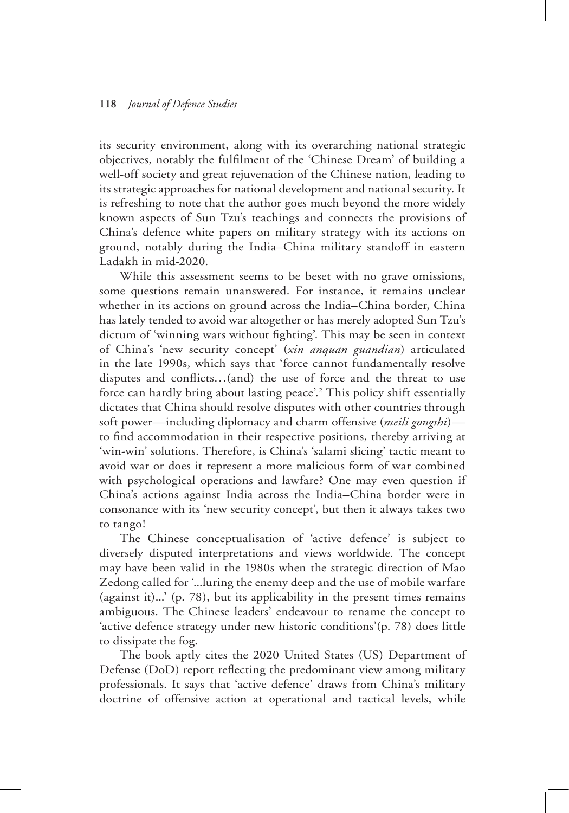#### **118** *Journal of Defence Studies*

its security environment, along with its overarching national strategic objectives, notably the fulfilment of the 'Chinese Dream' of building a well-off society and great rejuvenation of the Chinese nation, leading to its strategic approaches for national development and national security. It is refreshing to note that the author goes much beyond the more widely known aspects of Sun Tzu's teachings and connects the provisions of China's defence white papers on military strategy with its actions on ground, notably during the India–China military standoff in eastern Ladakh in mid-2020.

While this assessment seems to be beset with no grave omissions, some questions remain unanswered. For instance, it remains unclear whether in its actions on ground across the India–China border, China has lately tended to avoid war altogether or has merely adopted Sun Tzu's dictum of 'winning wars without fighting'. This may be seen in context of China's 'new security concept' (*xin anquan guandian*) articulated in the late 1990s, which says that 'force cannot fundamentally resolve disputes and conflicts…(and) the use of force and the threat to use force can hardly bring about lasting peace'.2 This policy shift essentially dictates that China should resolve disputes with other countries through soft power—including diplomacy and charm offensive (*meili gongshi*) to find accommodation in their respective positions, thereby arriving at 'win-win' solutions. Therefore, is China's 'salami slicing' tactic meant to avoid war or does it represent a more malicious form of war combined with psychological operations and lawfare? One may even question if China's actions against India across the India–China border were in consonance with its 'new security concept', but then it always takes two to tango!

The Chinese conceptualisation of 'active defence' is subject to diversely disputed interpretations and views worldwide. The concept may have been valid in the 1980s when the strategic direction of Mao Zedong called for '...luring the enemy deep and the use of mobile warfare (against it)...' (p. 78), but its applicability in the present times remains ambiguous. The Chinese leaders' endeavour to rename the concept to 'active defence strategy under new historic conditions'(p. 78) does little to dissipate the fog.

The book aptly cites the 2020 United States (US) Department of Defense (DoD) report reflecting the predominant view among military professionals. It says that 'active defence' draws from China's military doctrine of offensive action at operational and tactical levels, while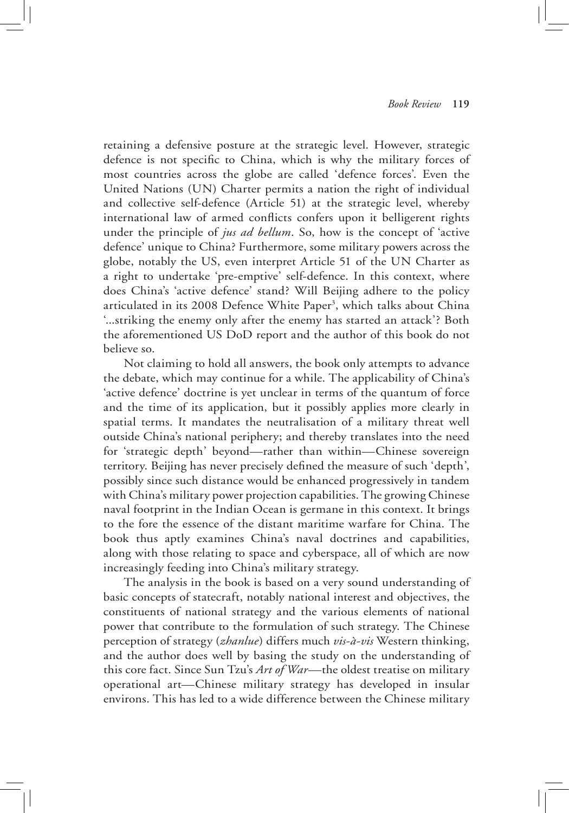retaining a defensive posture at the strategic level. However, strategic defence is not specific to China, which is why the military forces of most countries across the globe are called 'defence forces'. Even the United Nations (UN) Charter permits a nation the right of individual and collective self-defence (Article 51) at the strategic level, whereby international law of armed conflicts confers upon it belligerent rights under the principle of *jus ad bellum*. So, how is the concept of 'active defence' unique to China? Furthermore, some military powers across the globe, notably the US, even interpret Article 51 of the UN Charter as a right to undertake 'pre-emptive' self-defence. In this context, where does China's 'active defence' stand? Will Beijing adhere to the policy articulated in its 2008 Defence White Paper<sup>3</sup>, which talks about China '...striking the enemy only after the enemy has started an attack'? Both the aforementioned US DoD report and the author of this book do not believe so.

Not claiming to hold all answers, the book only attempts to advance the debate, which may continue for a while. The applicability of China's 'active defence' doctrine is yet unclear in terms of the quantum of force and the time of its application, but it possibly applies more clearly in spatial terms. It mandates the neutralisation of a military threat well outside China's national periphery; and thereby translates into the need for 'strategic depth' beyond—rather than within—Chinese sovereign territory. Beijing has never precisely defined the measure of such 'depth', possibly since such distance would be enhanced progressively in tandem with China's military power projection capabilities. The growing Chinese naval footprint in the Indian Ocean is germane in this context. It brings to the fore the essence of the distant maritime warfare for China. The book thus aptly examines China's naval doctrines and capabilities, along with those relating to space and cyberspace, all of which are now increasingly feeding into China's military strategy.

The analysis in the book is based on a very sound understanding of basic concepts of statecraft, notably national interest and objectives, the constituents of national strategy and the various elements of national power that contribute to the formulation of such strategy. The Chinese perception of strategy (*zhanlue*) differs much *vis-à-vis* Western thinking, and the author does well by basing the study on the understanding of this core fact. Since Sun Tzu's *Art of War*—the oldest treatise on military operational art—Chinese military strategy has developed in insular environs. This has led to a wide difference between the Chinese military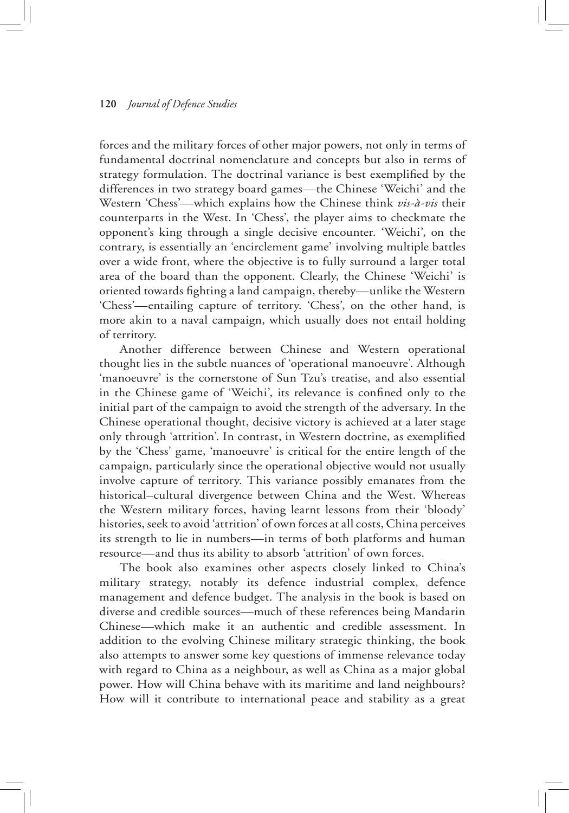#### **120** *Journal of Defence Studies*

forces and the military forces of other major powers, not only in terms of fundamental doctrinal nomenclature and concepts but also in terms of strategy formulation. The doctrinal variance is best exemplified by the differences in two strategy board games—the Chinese 'Weichi' and the Western 'Chess'—which explains how the Chinese think *vis-à-vis* their counterparts in the West. In 'Chess', the player aims to checkmate the opponent's king through a single decisive encounter. 'Weichi', on the contrary, is essentially an 'encirclement game' involving multiple battles over a wide front, where the objective is to fully surround a larger total area of the board than the opponent. Clearly, the Chinese 'Weichi' is oriented towards fighting a land campaign, thereby—unlike the Western 'Chess'—entailing capture of territory. 'Chess', on the other hand, is more akin to a naval campaign, which usually does not entail holding of territory.

Another difference between Chinese and Western operational thought lies in the subtle nuances of 'operational manoeuvre'. Although 'manoeuvre' is the cornerstone of Sun Tzu's treatise, and also essential in the Chinese game of 'Weichi', its relevance is confined only to the initial part of the campaign to avoid the strength of the adversary. In the Chinese operational thought, decisive victory is achieved at a later stage only through 'attrition'. In contrast, in Western doctrine, as exemplified by the 'Chess' game, 'manoeuvre' is critical for the entire length of the campaign, particularly since the operational objective would not usually involve capture of territory. This variance possibly emanates from the historical–cultural divergence between China and the West. Whereas the Western military forces, having learnt lessons from their 'bloody' histories, seek to avoid 'attrition' of own forces at all costs, China perceives its strength to lie in numbers—in terms of both platforms and human resource—and thus its ability to absorb 'attrition' of own forces.

The book also examines other aspects closely linked to China's military strategy, notably its defence industrial complex, defence management and defence budget. The analysis in the book is based on diverse and credible sources—much of these references being Mandarin Chinese—which make it an authentic and credible assessment. In addition to the evolving Chinese military strategic thinking, the book also attempts to answer some key questions of immense relevance today with regard to China as a neighbour, as well as China as a major global power. How will China behave with its maritime and land neighbours? How will it contribute to international peace and stability as a great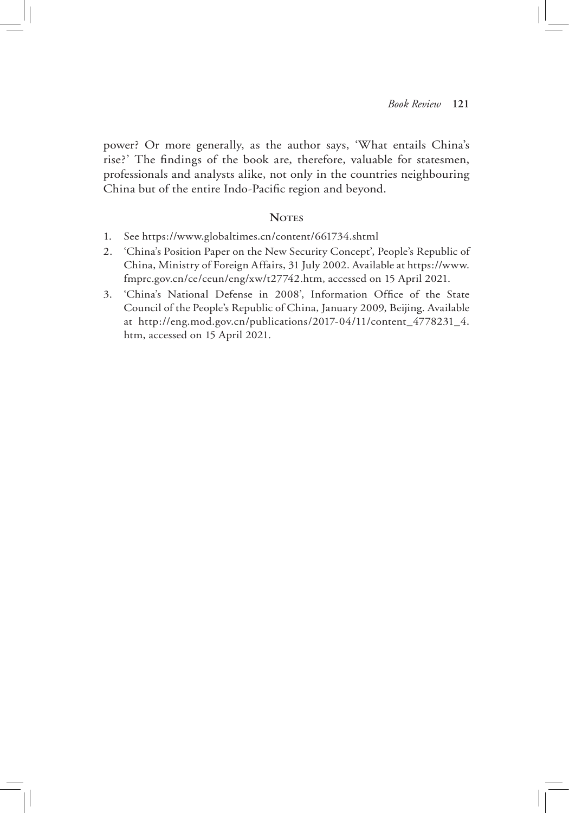power? Or more generally, as the author says, 'What entails China's rise?' The findings of the book are, therefore, valuable for statesmen, professionals and analysts alike, not only in the countries neighbouring China but of the entire Indo-Pacific region and beyond.

### NOTES

- 1. See https://www.globaltimes.cn/content/661734.shtml
- 2. 'China's Position Paper on the New Security Concept', People's Republic of China, Ministry of Foreign Affairs, 31 July 2002. Available at https://www. fmprc.gov.cn/ce/ceun/eng/xw/t27742.htm, accessed on 15 April 2021.
- 3. 'China's National Defense in 2008', Information Office of the State Council of the People's Republic of China, January 2009, Beijing. Available at http://eng.mod.gov.cn/publications/2017-04/11/content\_4778231\_4. htm, accessed on 15 April 2021.